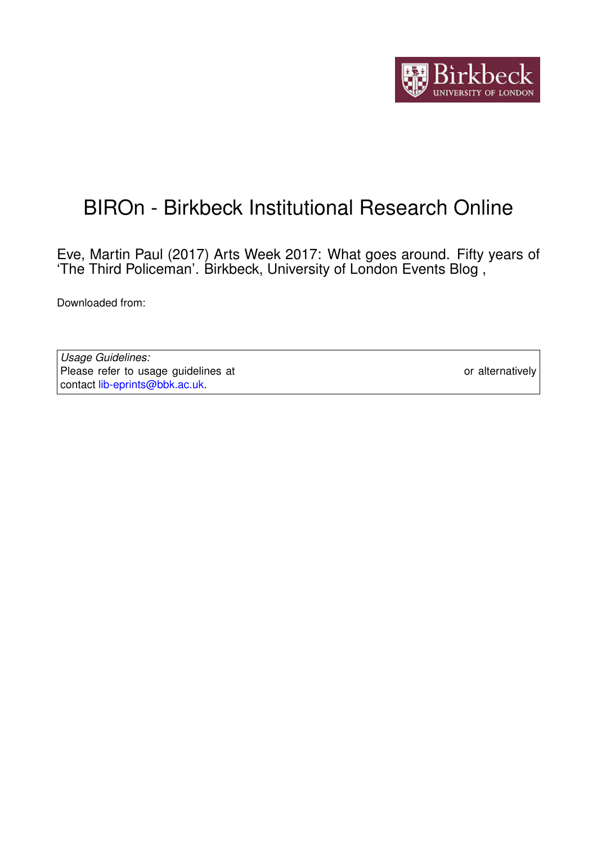

## BIROn - Birkbeck Institutional Research Online

Eve, Martin Paul (2017) Arts Week 2017: What goes around. Fifty years of 'The Third Policeman'. Birkbeck, University of London Events Blog ,

Downloaded from: <https://eprints.bbk.ac.uk/id/eprint/18738/>

*Usage Guidelines:* Please refer to usage guidelines at <https://eprints.bbk.ac.uk/policies.html> or alternatively contact [lib-eprints@bbk.ac.uk.](mailto:lib-eprints@bbk.ac.uk)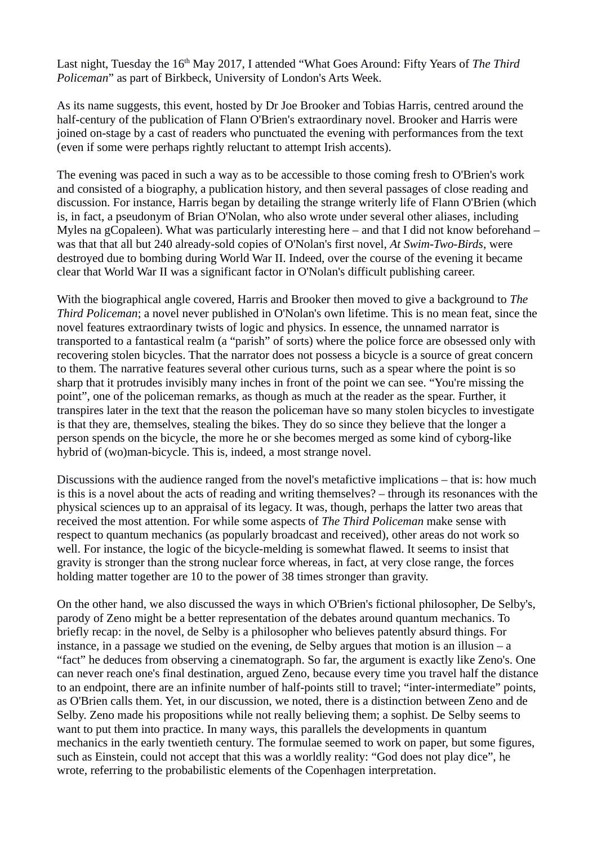Last night, Tuesday the 16<sup>th</sup> May 2017, I attended "What Goes Around: Fifty Years of *The Third Policeman*" as part of Birkbeck, University of London's Arts Week.

As its name suggests, this event, hosted by Dr Joe Brooker and Tobias Harris, centred around the half-century of the publication of Flann O'Brien's extraordinary novel. Brooker and Harris were joined on-stage by a cast of readers who punctuated the evening with performances from the text (even if some were perhaps rightly reluctant to attempt Irish accents).

The evening was paced in such a way as to be accessible to those coming fresh to O'Brien's work and consisted of a biography, a publication history, and then several passages of close reading and discussion. For instance, Harris began by detailing the strange writerly life of Flann O'Brien (which is, in fact, a pseudonym of Brian O'Nolan, who also wrote under several other aliases, including Myles na gCopaleen). What was particularly interesting here – and that I did not know beforehand – was that that all but 240 already-sold copies of O'Nolan's first novel, *At Swim-Two-Birds*, were destroyed due to bombing during World War II. Indeed, over the course of the evening it became clear that World War II was a significant factor in O'Nolan's difficult publishing career.

With the biographical angle covered, Harris and Brooker then moved to give a background to *The Third Policeman*; a novel never published in O'Nolan's own lifetime. This is no mean feat, since the novel features extraordinary twists of logic and physics. In essence, the unnamed narrator is transported to a fantastical realm (a "parish" of sorts) where the police force are obsessed only with recovering stolen bicycles. That the narrator does not possess a bicycle is a source of great concern to them. The narrative features several other curious turns, such as a spear where the point is so sharp that it protrudes invisibly many inches in front of the point we can see. "You're missing the point", one of the policeman remarks, as though as much at the reader as the spear. Further, it transpires later in the text that the reason the policeman have so many stolen bicycles to investigate is that they are, themselves, stealing the bikes. They do so since they believe that the longer a person spends on the bicycle, the more he or she becomes merged as some kind of cyborg-like hybrid of (wo)man-bicycle. This is, indeed, a most strange novel.

Discussions with the audience ranged from the novel's metafictive implications – that is: how much is this is a novel about the acts of reading and writing themselves? – through its resonances with the physical sciences up to an appraisal of its legacy. It was, though, perhaps the latter two areas that received the most attention. For while some aspects of *The Third Policeman* make sense with respect to quantum mechanics (as popularly broadcast and received), other areas do not work so well. For instance, the logic of the bicycle-melding is somewhat flawed. It seems to insist that gravity is stronger than the strong nuclear force whereas, in fact, at very close range, the forces holding matter together are 10 to the power of 38 times stronger than gravity.

On the other hand, we also discussed the ways in which O'Brien's fictional philosopher, De Selby's, parody of Zeno might be a better representation of the debates around quantum mechanics. To briefly recap: in the novel, de Selby is a philosopher who believes patently absurd things. For instance, in a passage we studied on the evening, de Selby argues that motion is an illusion  $-$  a "fact" he deduces from observing a cinematograph. So far, the argument is exactly like Zeno's. One can never reach one's final destination, argued Zeno, because every time you travel half the distance to an endpoint, there are an infinite number of half-points still to travel; "inter-intermediate" points, as O'Brien calls them. Yet, in our discussion, we noted, there is a distinction between Zeno and de Selby. Zeno made his propositions while not really believing them; a sophist. De Selby seems to want to put them into practice. In many ways, this parallels the developments in quantum mechanics in the early twentieth century. The formulae seemed to work on paper, but some figures, such as Einstein, could not accept that this was a worldly reality: "God does not play dice", he wrote, referring to the probabilistic elements of the Copenhagen interpretation.